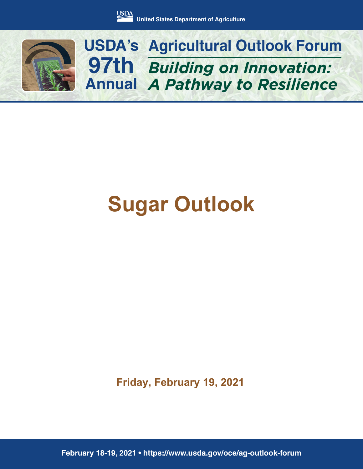

*Building on Innovation: A Pathway to Resilience* **USDA's Agricultural Outlook Forum 97th Annual**

## **Sugar Outlook**

**Friday, February 19, 2021**

**February 18-19, 2021 • https://www.usda.gov/oce/ag-outlook-forum**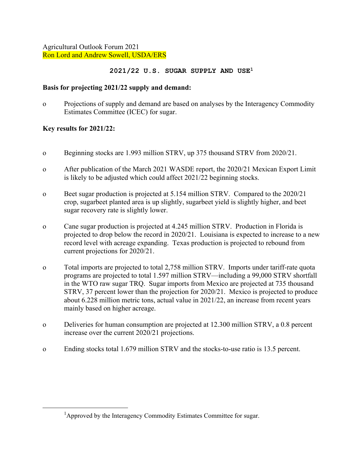Agricultural Outlook Forum 2021 Ron Lord and Andrew Sowell, USDA/ERS

## **2021/22 U.S. SUGAR SUPPLY AND USE1**

## **Basis for projecting 2021/22 supply and demand:**

o Projections of supply and demand are based on analyses by the Interagency Commodity Estimates Committee (ICEC) for sugar.

## **Key results for 2021/22:**

- o Beginning stocks are 1.993 million STRV, up 375 thousand STRV from 2020/21.
- o After publication of the March 2021 WASDE report, the 2020/21 Mexican Export Limit is likely to be adjusted which could affect 2021/22 beginning stocks.
- o Beet sugar production is projected at 5.154 million STRV. Compared to the 2020/21 crop, sugarbeet planted area is up slightly, sugarbeet yield is slightly higher, and beet sugar recovery rate is slightly lower.
- o Cane sugar production is projected at 4.245 million STRV. Production in Florida is projected to drop below the record in 2020/21. Louisiana is expected to increase to a new record level with acreage expanding. Texas production is projected to rebound from current projections for 2020/21.
- o Total imports are projected to total 2,758 million STRV. Imports under tariff-rate quota programs are projected to total 1.597 million STRV—including a 99,000 STRV shortfall in the WTO raw sugar TRQ. Sugar imports from Mexico are projected at 735 thousand STRV, 37 percent lower than the projection for 2020/21. Mexico is projected to produce about 6.228 million metric tons, actual value in 2021/22, an increase from recent years mainly based on higher acreage.
- o Deliveries for human consumption are projected at 12.300 million STRV, a 0.8 percent increase over the current 2020/21 projections.
- o Ending stocks total 1.679 million STRV and the stocks-to-use ratio is 13.5 percent.

<sup>&</sup>lt;sup>1</sup>Approved by the Interagency Commodity Estimates Committee for sugar.